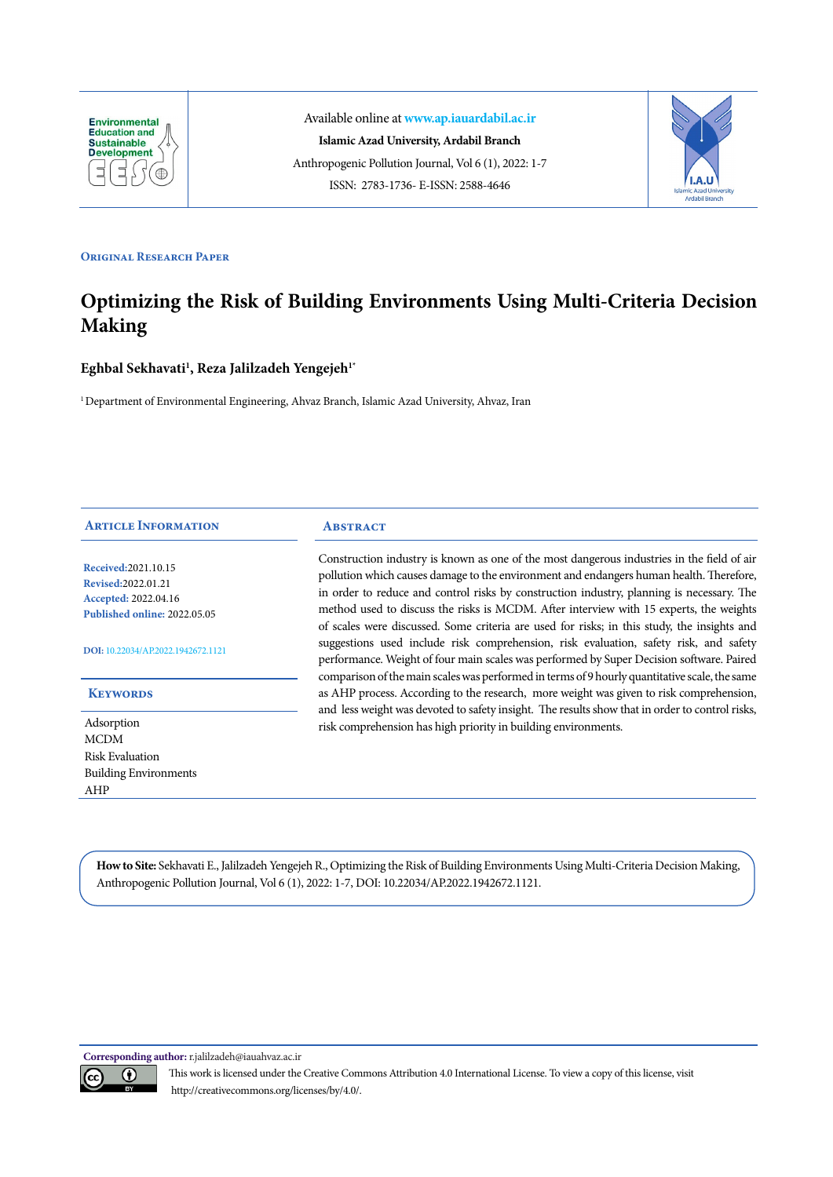

Available online at **www.ap.iauardabil.ac.ir Islamic Azad University, Ardabil Branch** Anthropogenic Pollution Journal, Vol 6 (1), 2022: 1-7 ISSN: 2783-1736- E-ISSN: 2588-4646



#### **ORIGINAL RESEARCH PAPER**

# **Optimizing the Risk of Building Environments Using Multi-Criteria Decision Making**

# ${\bf Eghbal}$  Sekhavati<sup>1</sup>, Reza Jalilzadeh Yengejeh<sup>1\*</sup>

<sup>1</sup> Department of Environmental Engineering, Ahvaz Branch, Islamic Azad University, Ahvaz, Iran

## **Article Information**

**Received:**2021.10.15 **Revised:**2022.01.21 **Accepted:** 2022.04.16 **Published online:** 2022.05.05

#### **DOI:** [10.22034/AP.2022.1942672.1121](http://ap.iauardabil.ac.ir/article_690950.html)

#### **Keywords**

Adsorption MCDM Risk Evaluation Building Environments AHP

#### **ABSTRACT**

Construction industry is known as one of the most dangerous industries in the field of air pollution which causes damage to the environment and endangers human health. Therefore, in order to reduce and control risks by construction industry, planning is necessary. The method used to discuss the risks is MCDM. After interview with 15 experts, the weights of scales were discussed. Some criteria are used for risks; in this study, the insights and suggestions used include risk comprehension, risk evaluation, safety risk, and safety performance. Weight of four main scales was performed by Super Decision software. Paired comparison of the main scales was performed in terms of 9 hourly quantitative scale, the same as AHP process. According to the research, more weight was given to risk comprehension, and less weight was devoted to safety insight. The results show that in order to control risks, risk comprehension has high priority in building environments.

**How to Site:** Sekhavati E., Jalilzadeh Yengejeh R., Optimizing the Risk of Building Environments Using Multi-Criteria Decision Making, Anthropogenic Pollution Journal, Vol 6 (1), 2022: 1-7, DOI: 10.22034/AP.2022.1942672.1121.

**Corresponding author:** r.jalilzadeh@iauahvaz.ac.ir



This work is licensed under the Creative Commons Attribution 4.0 International License. To view a copy of this license, visit http://creativecommons.org/licenses/by/4.0/.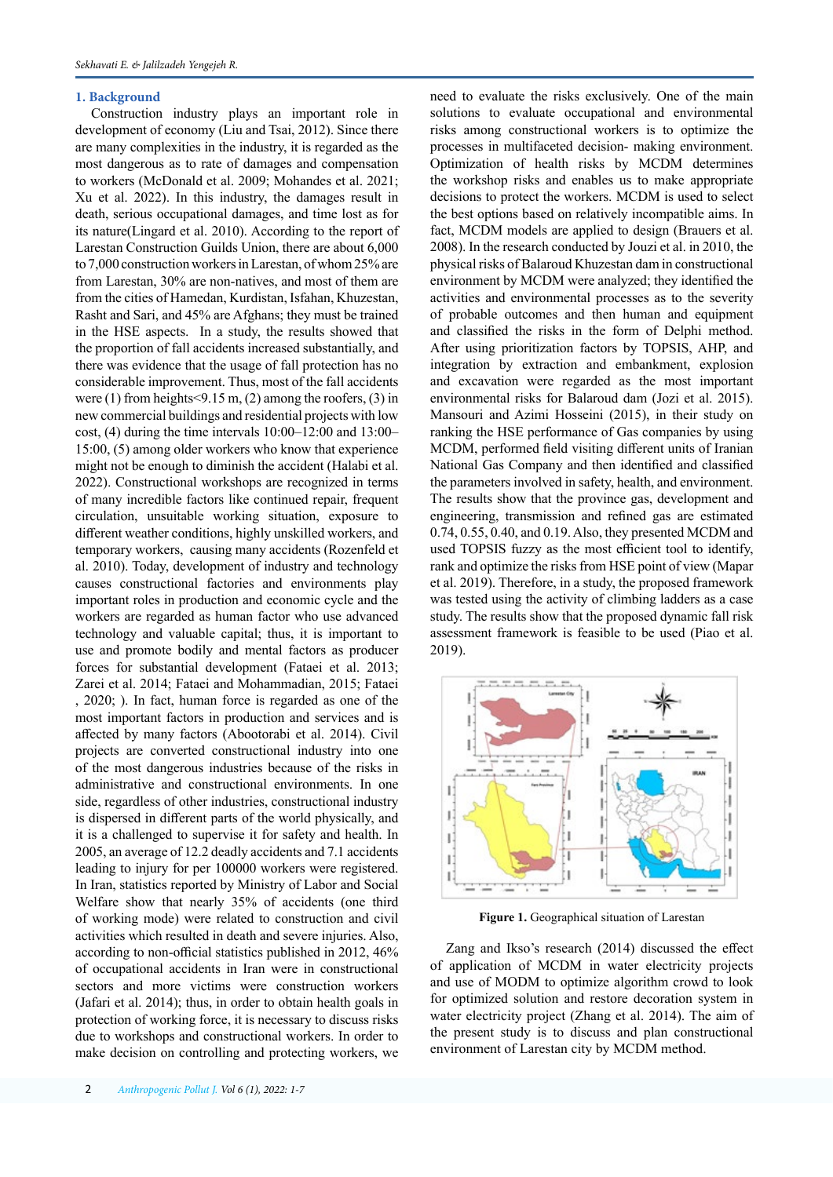#### **1. Background**

Construction industry plays an important role in development of economy (Liu and Tsai, 2012). Since there are many complexities in the industry, it is regarded as the most dangerous as to rate of damages and compensation to workers (McDonald et al. 2009; Mohandes et al. 2021; Xu et al. 2022). In this industry, the damages result in death, serious occupational damages, and time lost as for its nature(Lingard et al. 2010). According to the report of Larestan Construction Guilds Union, there are about 6,000 to 7,000 construction workers in Larestan, of whom 25% are from Larestan, 30% are non-natives, and most of them are from the cities of Hamedan, Kurdistan, Isfahan, Khuzestan, Rasht and Sari, and 45% are Afghans; they must be trained in the HSE aspects. In a study, the results showed that the proportion of fall accidents increased substantially, and there was evidence that the usage of fall protection has no considerable improvement. Thus, most of the fall accidents were (1) from heights <9.15 m, (2) among the roofers, (3) in new [commercial buildings](https://www.sciencedirect.com/topics/engineering/commercial-building) and residential projects with low cost, (4) during the time intervals 10:00–12:00 and 13:00– 15:00, (5) among older workers who know that experience might not be enough to diminish the accident (Halabi et al. 2022). Constructional workshops are recognized in terms of many incredible factors like continued repair, frequent circulation, unsuitable working situation, exposure to different weather conditions, highly unskilled workers, and temporary workers, causing many accidents (Rozenfeld et al. 2010). Today, development of industry and technology causes constructional factories and environments play important roles in production and economic cycle and the workers are regarded as human factor who use advanced technology and valuable capital; thus, it is important to use and promote bodily and mental factors as producer forces for substantial development (Fataei et al. 2013; Zarei et al. 2014; Fataei and Mohammadian, 2015; Fataei , 2020; ). In fact, human force is regarded as one of the most important factors in production and services and is affected by many factors (Abootorabi et al. 2014). Civil projects are converted constructional industry into one of the most dangerous industries because of the risks in administrative and constructional environments. In one side, regardless of other industries, constructional industry is dispersed in different parts of the world physically, and it is a challenged to supervise it for safety and health. In 2005, an average of 12.2 deadly accidents and 7.1 accidents leading to injury for per 100000 workers were registered. In Iran, statistics reported by Ministry of Labor and Social Welfare show that nearly 35% of accidents (one third of working mode) were related to construction and civil activities which resulted in death and severe injuries. Also, according to non-official statistics published in 2012, 46% of occupational accidents in Iran were in constructional sectors and more victims were construction workers (Jafari et al. 2014); thus, in order to obtain health goals in protection of working force, it is necessary to discuss risks due to workshops and constructional workers. In order to make decision on controlling and protecting workers, we

need to evaluate the risks exclusively. One of the main solutions to evaluate occupational and environmental risks among constructional workers is to optimize the processes in multifaceted decision- making environment. Optimization of health risks by MCDM determines the workshop risks and enables us to make appropriate decisions to protect the workers. MCDM is used to select the best options based on relatively incompatible aims. In fact, MCDM models are applied to design (Brauers et al. 2008). In the research conducted by Jouzi et al. in 2010, the physical risks of Balaroud Khuzestan dam in constructional environment by MCDM were analyzed; they identified the activities and environmental processes as to the severity of probable outcomes and then human and equipment and classified the risks in the form of Delphi method. After using prioritization factors by TOPSIS, AHP, and integration by extraction and embankment, explosion and excavation were regarded as the most important environmental risks for Balaroud dam (Jozi et al. 2015). Mansouri and Azimi Hosseini (2015), in their study on ranking the HSE performance of Gas companies by using MCDM, performed field visiting different units of Iranian National Gas Company and then identified and classified the parameters involved in safety, health, and environment. The results show that the province gas, development and engineering, transmission and refined gas are estimated 0.74, 0.55, 0.40, and 0.19. Also, they presented MCDM and used TOPSIS fuzzy as the most efficient tool to identify, rank and optimize the risks from HSE point of view (Mapar et al. 2019). Therefore, in a study, the proposed framework was tested using the activity of climbing ladders as a case study. The results show that the proposed dynamic fall risk assessment framework is feasible to be used (Piao et al. 2019).



**Figure 1.** Geographical situation of Larestan

Zang and Ikso's research (2014) discussed the effect of application of MCDM in water electricity projects and use of MODM to optimize algorithm crowd to look for optimized solution and restore decoration system in water electricity project (Zhang et al. 2014). The aim of the present study is to discuss and plan constructional environment of Larestan city by MCDM method.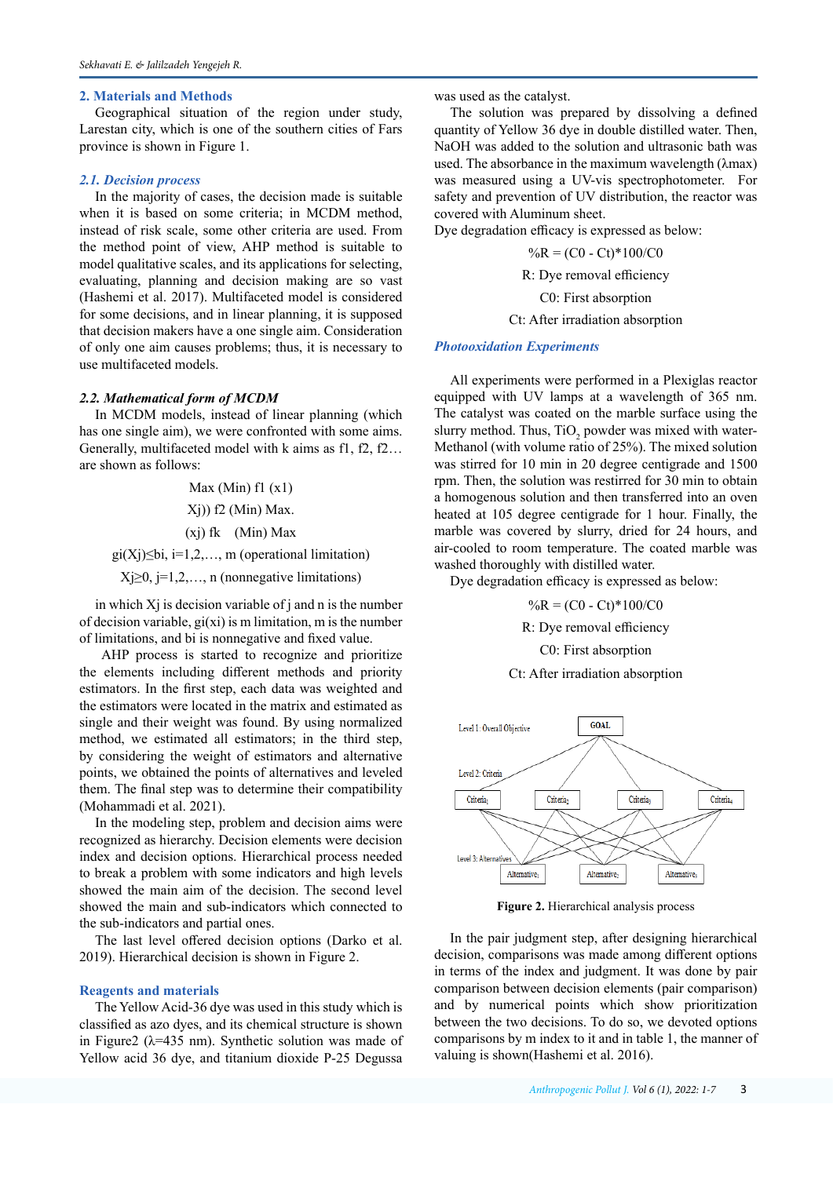#### **2. Materials and Methods**

Geographical situation of the region under study, Larestan city, which is one of the southern cities of Fars province is shown in Figure 1.

## *2.1. Decision process*

In the majority of cases, the decision made is suitable when it is based on some criteria; in MCDM method, instead of risk scale, some other criteria are used. From the method point of view, AHP method is suitable to model qualitative scales, and its applications for selecting, evaluating, planning and decision making are so vast (Hashemi et al. 2017). Multifaceted model is considered for some decisions, and in linear planning, it is supposed that decision makers have a one single aim. Consideration of only one aim causes problems; thus, it is necessary to use multifaceted models.

#### *2.2. Mathematical form of MCDM*

In MCDM models, instead of linear planning (which has one single aim), we were confronted with some aims. Generally, multifaceted model with k aims as f1, f2, f2… are shown as follows:

> Max (Min)  $f1(x1)$  $X<sub>i</sub>$ )) f2 (Min) Max.

(xj) fk (Min) Max

gi(Xj)≤bi, i=1,2,..., m (operational limitation)

 $X$ j $\geq$ 0, j=1,2,..., n (nonnegative limitations)

in which  $X_i$  is decision variable of  $i$  and  $n$  is the number of decision variable,  $gi(xi)$  is m limitation, m is the number of limitations, and bi is nonnegative and fixed value.

AHP process is started to recognize and prioritize the elements including different methods and priority estimators. In the first step, each data was weighted and the estimators were located in the matrix and estimated as single and their weight was found. By using normalized method, we estimated all estimators; in the third step, by considering the weight of estimators and alternative points, we obtained the points of alternatives and leveled them. The final step was to determine their compatibility (Mohammadi et al. 2021).

In the modeling step, problem and decision aims were recognized as hierarchy. Decision elements were decision index and decision options. Hierarchical process needed to break a problem with some indicators and high levels showed the main aim of the decision. The second level showed the main and sub-indicators which connected to the sub-indicators and partial ones.

The last level offered decision options (Darko et al. 2019). Hierarchical decision is shown in Figure 2.

#### **Reagents and materials**

The Yellow Acid-36 dye was used in this study which is classified as azo dyes, and its chemical structure is shown in Figure2 ( $\lambda$ =435 nm). Synthetic solution was made of Yellow acid 36 dye, and titanium dioxide P-25 Degussa

was used as the catalyst.

The solution was prepared by dissolving a defined quantity of Yellow 36 dye in double distilled water. Then, NaOH was added to the solution and ultrasonic bath was used. The absorbance in the maximum wavelength (λmax) was measured using a UV-vis spectrophotometer. For safety and prevention of UV distribution, the reactor was covered with Aluminum sheet.

Dye degradation efficacy is expressed as below:

 $\%R = (CO - Ct)^*100/C0$ 

R: Dye removal efficiency

C0: First absorption

#### Ct: After irradiation absorption

#### *Photooxidation Experiments*

All experiments were performed in a Plexiglas reactor equipped with UV lamps at a wavelength of 365 nm. The catalyst was coated on the marble surface using the slurry method. Thus,  $TiO_2$  powder was mixed with water-Methanol (with volume ratio of 25%). The mixed solution was stirred for 10 min in 20 degree centigrade and 1500 rpm. Then, the solution was restirred for 30 min to obtain a homogenous solution and then transferred into an oven heated at 105 degree centigrade for 1 hour. Finally, the marble was covered by slurry, dried for 24 hours, and air-cooled to room temperature. The coated marble was washed thoroughly with distilled water.

Dye degradation efficacy is expressed as below:

 $\%R = (CO - Ct)*100/C0$ 

R: Dye removal efficiency

C0: First absorption

Ct: After irradiation absorption



**Figure 2.** Hierarchical analysis process

In the pair judgment step, after designing hierarchical decision, comparisons was made among different options in terms of the index and judgment. It was done by pair comparison between decision elements (pair comparison) and by numerical points which show prioritization between the two decisions. To do so, we devoted options comparisons by m index to it and in table 1, the manner of valuing is shown(Hashemi et al. 2016).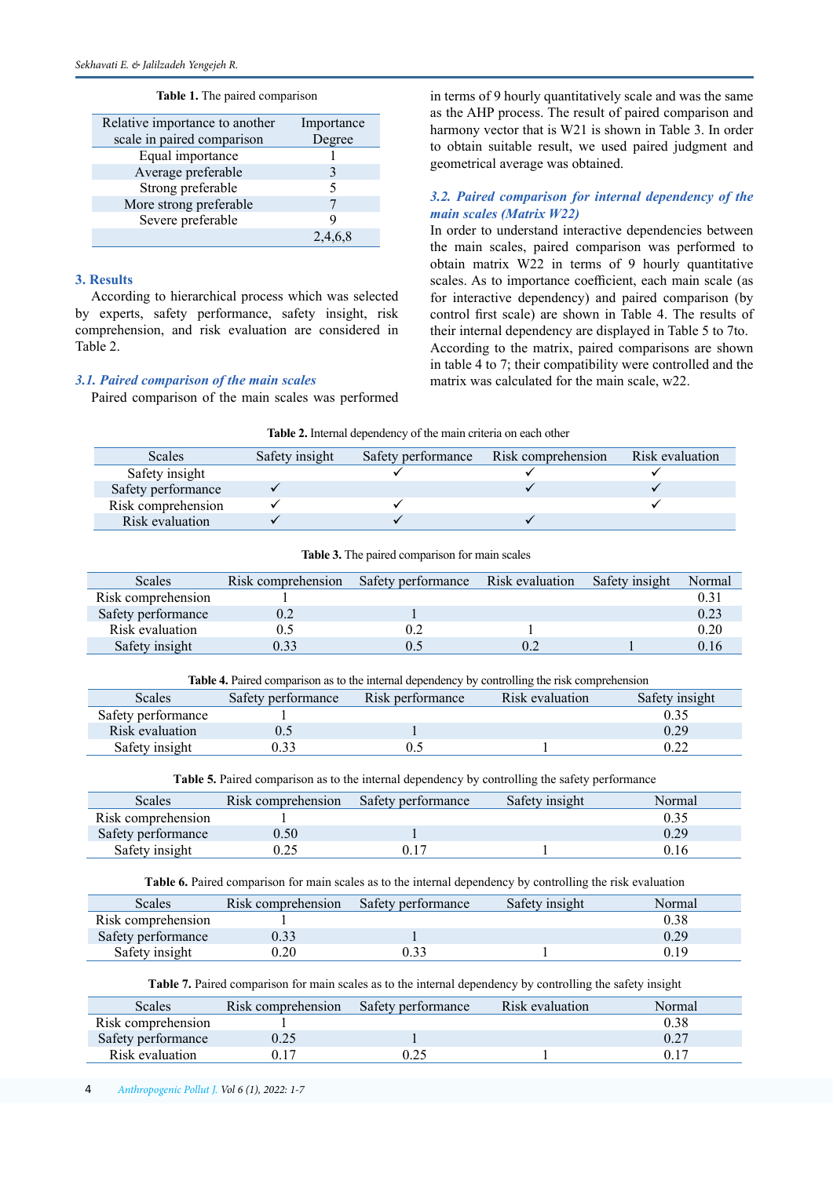|  |  | <b>Table 1.</b> The paired comparison |
|--|--|---------------------------------------|

| Relative importance to another | Importance |
|--------------------------------|------------|
| scale in paired comparison     | Degree     |
| Equal importance               |            |
| Average preferable             | 3          |
| Strong preferable              | 5          |
| More strong preferable         |            |
| Severe preferable              |            |
|                                |            |

### **3. Results**

According to hierarchical process which was selected by experts, safety performance, safety insight, risk comprehension, and risk evaluation are considered in Table 2.

#### *3.1. Paired comparison of the main scales*

Paired comparison of the main scales was performed

in terms of 9 hourly quantitatively scale and was the same as the AHP process. The result of paired comparison and harmony vector that is W21 is shown in Table 3. In order to obtain suitable result, we used paired judgment and geometrical average was obtained.

# *3.2. Paired comparison for internal dependency of the main scales (Matrix W22)*

In order to understand interactive dependencies between the main scales, paired comparison was performed to obtain matrix W22 in terms of 9 hourly quantitative scales. As to importance coefficient, each main scale (as for interactive dependency) and paired comparison (by control first scale) are shown in Table 4. The results of their internal dependency are displayed in Table 5 to 7to. According to the matrix, paired comparisons are shown in table 4 to 7; their compatibility were controlled and the matrix was calculated for the main scale, w22.

| Table 2. Internal dependency of the main criteria on each other |  |  |  |
|-----------------------------------------------------------------|--|--|--|
|-----------------------------------------------------------------|--|--|--|

| <b>Scales</b>      | Safety insight | Safety performance Risk comprehension | Risk evaluation |
|--------------------|----------------|---------------------------------------|-----------------|
| Safety insight     |                |                                       |                 |
| Safety performance |                |                                       |                 |
| Risk comprehension |                |                                       |                 |
| Risk evaluation    |                |                                       |                 |

| <b>Table 3.</b> The paired comparison for main scales |  |  |  |  |
|-------------------------------------------------------|--|--|--|--|
|                                                       |  |  |  |  |

| <b>Scales</b>      | Risk comprehension | Safety performance | Risk evaluation | Safety insight | Normal |
|--------------------|--------------------|--------------------|-----------------|----------------|--------|
| Risk comprehension |                    |                    |                 |                |        |
| Safety performance | 0.2                |                    |                 |                | 0.23   |
| Risk evaluation    |                    |                    |                 |                | 0.20   |
| Safety insight     | 0.33               |                    |                 |                | 0.16   |

**Table 4.** Paired comparison as to the internal dependency by controlling the risk comprehension

| Scales             | Safety performance | Risk performance | Risk evaluation | Safety insight |
|--------------------|--------------------|------------------|-----------------|----------------|
| Safety performance |                    |                  |                 |                |
| Risk evaluation    |                    |                  |                 | 0.29           |
| Safety insight     | 9.33               |                  |                 |                |

**Table 5.** Paired comparison as to the internal dependency by controlling the safety performance

| Scales             | Risk comprehension | Safety performance | Safety insight | Normal |
|--------------------|--------------------|--------------------|----------------|--------|
| Risk comprehension |                    |                    |                |        |
| Safety performance | 0.50               |                    |                | 0.29   |
| Safety insight     |                    |                    |                | J. I O |

**Table 6.** Paired comparison for main scales as to the internal dependency by controlling the risk evaluation

| Scales             | Risk comprehension | Safety performance | Safety insight | Normal |
|--------------------|--------------------|--------------------|----------------|--------|
| Risk comprehension |                    |                    |                | 0.38   |
| Safety performance | 0.33               |                    |                | 0.29   |
| Safety insight     | 1.20               |                    |                | .) 19  |

**Table 7 .** Paired comparison for main scales as to the internal dependency by controlling the safety insight

| Scales             | Risk comprehension | Safety performance | Risk evaluation | Normal |
|--------------------|--------------------|--------------------|-----------------|--------|
| Risk comprehension |                    |                    |                 | 0.38   |
| Safety performance |                    |                    |                 |        |
| Risk evaluation    |                    |                    |                 |        |

4 *Anthropogenic Pollut J. Vol* 6 *(*1*), 202*2*: 1-7*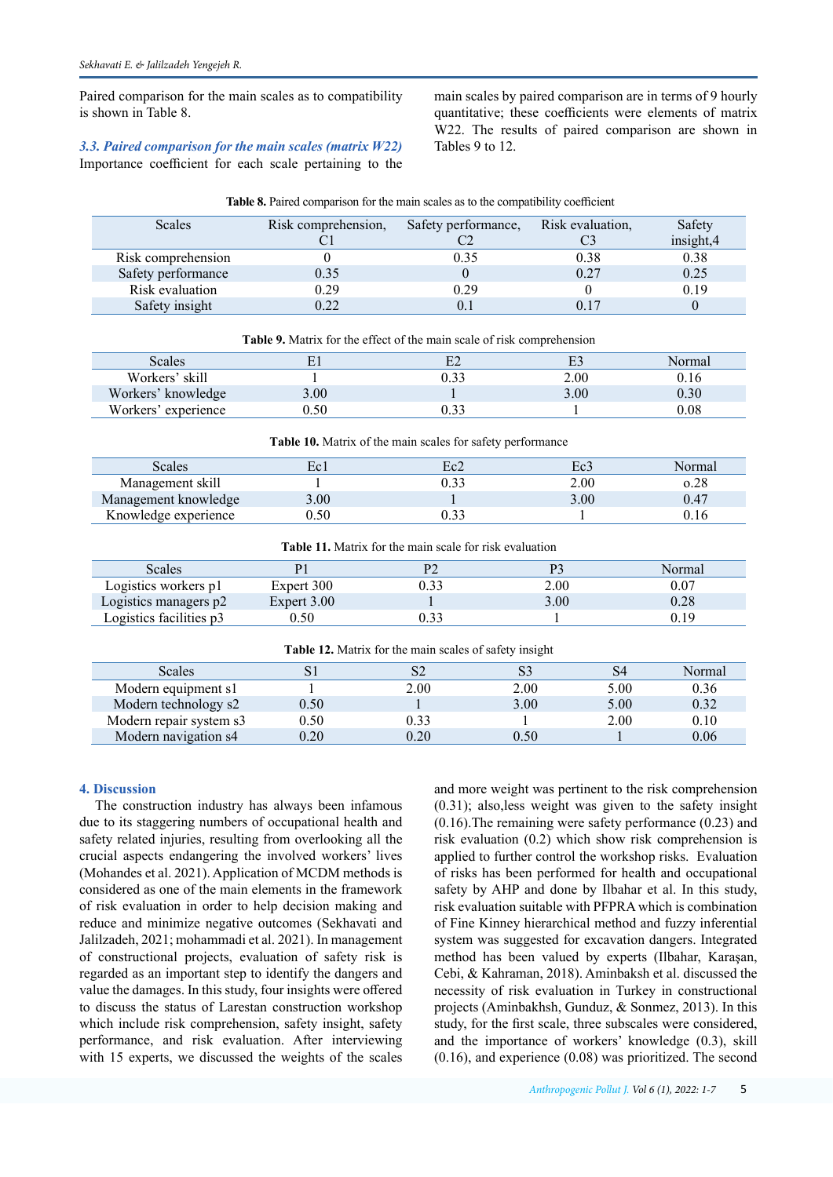Paired comparison for the main scales as to compatibility is shown in Table 8.

*3.3. Paired comparison for the main scales (matrix W22)* Importance coefficient for each scale pertaining to the

Scales Risk comprehension,

main scales by paired comparison are in terms of 9 hourly quantitative; these coefficients were elements of matrix W22. The results of paired comparison are shown in Tables 9 to 12.

Risk evaluation,

Safety

|                                                                | C <sub>1</sub> | C <sub>2</sub>                                                                | C <sub>3</sub> | insight,4 |  |
|----------------------------------------------------------------|----------------|-------------------------------------------------------------------------------|----------------|-----------|--|
| Risk comprehension                                             | 0              | 0.35                                                                          | 0.38           | 0.38      |  |
| Safety performance                                             | 0.35           | $\theta$                                                                      | 0.27           | 0.25      |  |
| Risk evaluation                                                | 0.29           | 0.29                                                                          | 0              | 0.19      |  |
| Safety insight                                                 | 0.22           | 0.1                                                                           | 0.17           | 0         |  |
|                                                                |                | <b>Table 9.</b> Matrix for the effect of the main scale of risk comprehension |                |           |  |
| Scales                                                         | E1             | E2                                                                            | E <sub>3</sub> | Normal    |  |
| Workers' skill                                                 |                | 0.33                                                                          | 2.00           | 0.16      |  |
| Workers' knowledge                                             | 3.00           |                                                                               | 3.00           | 0.30      |  |
| Workers' experience                                            | 0.50           | 0.33                                                                          |                | 0.08      |  |
| Table 10. Matrix of the main scales for safety performance     |                |                                                                               |                |           |  |
| Scales                                                         | Ec1            | Ec2                                                                           | Ec3            | Normal    |  |
| Management skill                                               |                | 0.33                                                                          | 2.00           | 0.28      |  |
| Management knowledge                                           | 3.00           |                                                                               | 3.00           | 0.47      |  |
| Knowledge experience                                           | 0.50           | 0.33                                                                          |                | 0.16      |  |
| <b>Table 11.</b> Matrix for the main scale for risk evaluation |                |                                                                               |                |           |  |

**Table 8.** Paired comparison for the main scales as to the compatibility coefficient

Safety performance,

| Scales                  |             |      | Normal |
|-------------------------|-------------|------|--------|
| Logistics workers p1    | Expert 300  | 2.00 | 0.07   |
| Logistics managers p2   | Expert 3.00 | 3.00 | 0.28   |
| Logistics facilities p3 | ).50        |      | 0.19   |
|                         |             |      |        |

**Table 12.** Matrix for the main scales of safety insight

| Scales                  |                   |      |      | S4   | Normal |
|-------------------------|-------------------|------|------|------|--------|
| Modern equipment s1     |                   | 2.00 | 2.00 | 5.00 | 0.36   |
| Modern technology s2    | 0.50              |      | 3.00 | 5.00 | 0.32   |
| Modern repair system s3 | 0.50 <sub>1</sub> | 0.33 |      | 2.00 | 0.10   |
| Modern navigation s4    | 0.20              | 0.20 | 0.50 |      | 0.06   |

# **4. Discussion**

The construction industry has always been infamous due to its staggering numbers of occupational health and safety related injuries, resulting from overlooking all the crucial aspects endangering the involved workers' lives (Mohandes et al. 2021). Application of MCDM methods is considered as one of the main elements in the framework of risk evaluation in order to help decision making and reduce and minimize negative outcomes (Sekhavati and Jalilzadeh, 2021; mohammadi et al. 2021). In management of constructional projects, evaluation of safety risk is regarded as an important step to identify the dangers and value the damages. In this study, four insights were offered to discuss the status of Larestan construction workshop which include risk comprehension, safety insight, safety performance, and risk evaluation. After interviewing with 15 experts, we discussed the weights of the scales

and more weight was pertinent to the risk comprehension (0.31); also,less weight was given to the safety insight (0.16).The remaining were safety performance (0.23) and risk evaluation (0.2) which show risk comprehension is applied to further control the workshop risks. Evaluation of risks has been performed for health and occupational safety by AHP and done by Ilbahar et al. In this study, risk evaluation suitable with PFPRA which is combination of Fine Kinney hierarchical method and fuzzy inferential system was suggested for excavation dangers. Integrated method has been valued by experts (Ilbahar, Karaşan, Cebi, & Kahraman, 2018). Aminbaksh et al. discussed the necessity of risk evaluation in Turkey in constructional projects (Aminbakhsh, Gunduz, & Sonmez, 2013). In this study, for the first scale, three subscales were considered, and the importance of workers' knowledge (0.3), skill (0.16), and experience (0.08) was prioritized. The second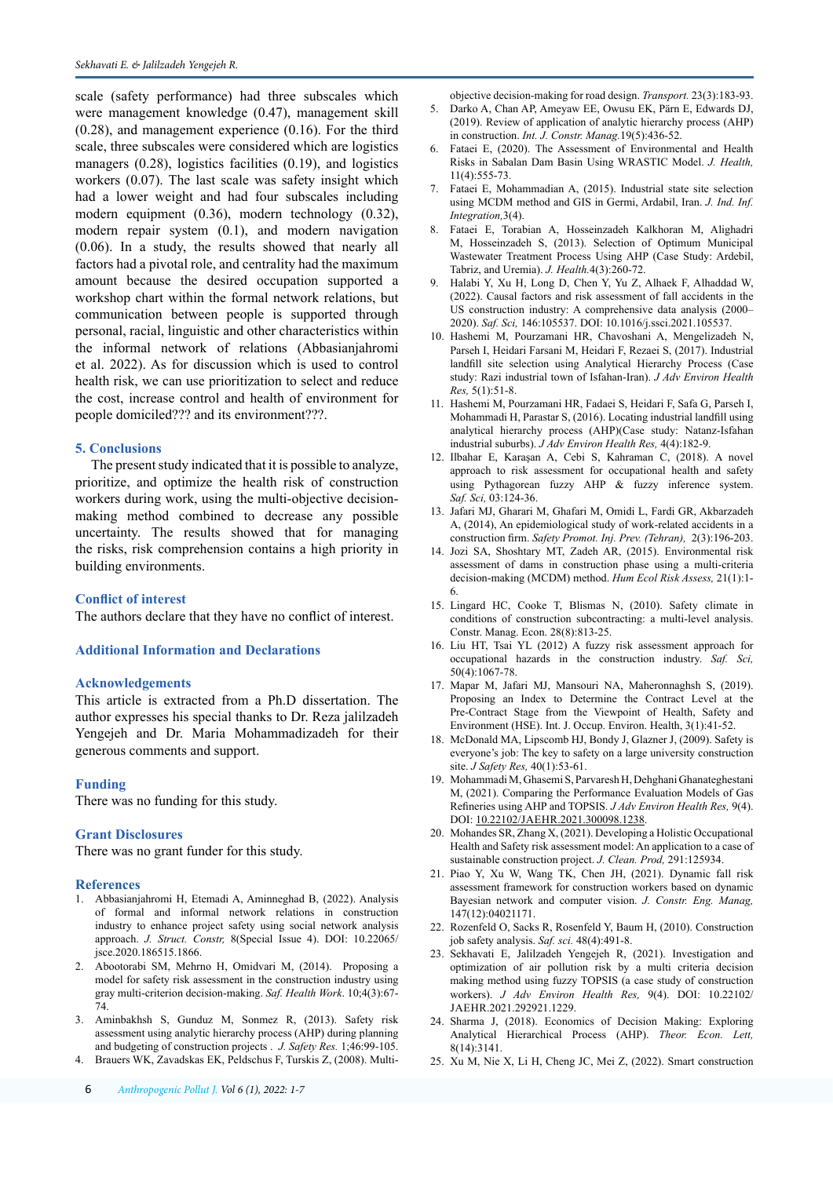scale (safety performance) had three subscales which were management knowledge (0.47), management skill (0.28), and management experience (0.16). For the third scale, three subscales were considered which are logistics managers (0.28), logistics facilities (0.19), and logistics workers (0.07). The last scale was safety insight which had a lower weight and had four subscales including modern equipment (0.36), modern technology (0.32), modern repair system (0.1), and modern navigation (0.06). In a study, the results showed that nearly all factors had a pivotal role, and centrality had the maximum amount because the desired occupation supported a workshop chart within the formal network relations, but communication between people is supported through personal, racial, linguistic and other characteristics within the informal network of relations (Abbasianjahromi et al. 2022). As for discussion which is used to control health risk, we can use prioritization to select and reduce the cost, increase control and health of environment for people domiciled??? and its environment???.

#### **5. Conclusions**

The present study indicated that it is possible to analyze, prioritize, and optimize the health risk of construction workers during work, using the multi-objective decisionmaking method combined to decrease any possible uncertainty. The results showed that for managing the risks, risk comprehension contains a high priority in building environments.

**Conflict of interest**

The authors declare that they have no conflict of interest.

#### **Additional Information and Declarations**

#### **Acknowledgements**

This article is extracted from a Ph.D dissertation. The author expresses his special thanks to Dr. Reza jalilzadeh Yengejeh and Dr. Maria Mohammadizadeh for their generous comments and support.

#### **Funding**

There was no funding for this study.

#### **Grant Disclosures**

There was no grant funder for this study.

#### **References**

- 1. Abbasianjahromi H, Etemadi A, Aminneghad B, (2022). Analysis of formal and informal network relations in construction industry to enhance project safety using social network analysis approach. *J. Struct. Constr,* 8(Special Issue 4). DOI: 10.22065/ jsce.2020.186515.1866.
- 2. Abootorabi SM, Mehrno H, Omidvari M, (2014). Proposing a model for safety risk assessment in the construction industry using gray multi-criterion decision-making. *Saf. Health Work*. 10;4(3):67- 74.
- 3. Aminbakhsh S, Gunduz M, Sonmez R, (2013). Safety risk assessment using analytic hierarchy process (AHP) during planning and budgeting of construction projects . *J. Safety Res.* 1;46:99-105.
- 4. Brauers WK, Zavadskas EK, Peldschus F, Turskis Z, (2008). Multi‐

objective decision‐making for road design. *Transport.* 23(3):183-93.

- 5. Darko A, Chan AP, Ameyaw EE, Owusu EK, Pärn E, Edwards DJ, (2019). Review of application of analytic hierarchy process (AHP) in construction. *Int. J. Constr. Manag.*19(5):436-52.
- 6. Fataei E, (2020). The Assessment of Environmental and Health Risks in Sabalan Dam Basin Using WRASTIC Model. *J. Health,* 11(4):555-73.
- 7. Fataei E, Mohammadian A, (2015). Industrial state site selection using MCDM method and GIS in Germi, Ardabil, Iran. *J. Ind. Inf. Integration,*3(4).
- 8. Fataei E, Torabian A, Hosseinzadeh Kalkhoran M, Alighadri M, Hosseinzadeh S, (2013). Selection of Optimum Municipal Wastewater Treatment Process Using AHP (Case Study: Ardebil, Tabriz, and Uremia). *J. Health.*4(3):260-72.
- 9. Halabi Y, Xu H, Long D, Chen Y, Yu Z, Alhaek F, Alhaddad W, (2022). Causal factors and risk assessment of fall accidents in the US construction industry: A comprehensive data analysis (2000– 2020). *Saf. Sci,* 146:105537. DOI: [10.1016/j.ssci.2021.105537.](https://doi.org/10.1016/j.ssci.2021.105537)
- 10. Hashemi M, Pourzamani HR, Chavoshani A, Mengelizadeh N, Parseh I, Heidari Farsani M, Heidari F, Rezaei S, (2017). Industrial landfill site selection using Analytical Hierarchy Process (Case study: Razi industrial town of Isfahan-Iran). *J Adv Environ Health Res,* 5(1):51-8.
- 11. Hashemi M, Pourzamani HR, Fadaei S, Heidari F, Safa G, Parseh I, Mohammadi H, Parastar S, (2016). Locating industrial landfill using analytical hierarchy process (AHP)(Case study: Natanz-Isfahan industrial suburbs). *J Adv Environ Health Res,* 4(4):182-9.
- 12. Ilbahar E, Karaşan A, Cebi S, Kahraman C, (2018). A novel approach to risk assessment for occupational health and safety using Pythagorean fuzzy AHP & fuzzy inference system. *Saf. Sci,* 03:124-36.
- 13. Jafari MJ, Gharari M, Ghafari M, Omidi L, Fardi GR, Akbarzadeh A, (2014), An epidemiological study of work-related accidents in a construction firm. *Safety Promot. Inj. Prev. (Tehran),* 2(3):196-203.
- 14. Jozi SA, Shoshtary MT, Zadeh AR, (2015). Environmental risk assessment of dams in construction phase using a multi-criteria decision-making (MCDM) method. *Hum Ecol Risk Assess,* 21(1):1- 6.
- 15. Lingard HC, Cooke T, Blismas N, (2010). Safety climate in conditions of construction subcontracting: a multi‐level analysis. Constr. Manag. Econ. 28(8):813-25.
- 16. Liu HT, Tsai YL (2012) A fuzzy risk assessment approach for occupational hazards in the construction industry. *Saf. Sci,* 50(4):1067-78.
- 17. Mapar M, Jafari MJ, Mansouri NA, Maheronnaghsh S, (2019). Proposing an Index to Determine the Contract Level at the Pre-Contract Stage from the Viewpoint of Health, Safety and Environment (HSE). Int. J. Occup. Environ. Health, 3(1):41-52.
- 18. McDonald MA, Lipscomb HJ, Bondy J, Glazner J, (2009). Safety is everyone's job: The key to safety on a large university construction site. *J Safety Res,* 40(1):53-61.
- 19. Mohammadi M, Ghasemi S, Parvaresh H, Dehghani Ghanateghestani M, (2021). Comparing the Performance Evaluation Models of Gas Refineries using AHP and TOPSIS. *J Adv Environ Health Res,* 9(4). DOI: [10.22102/JAEHR.2021.300098.1238.](https://dx.doi.org/10.22102/jaehr.2021.300098.1238)
- 20. Mohandes SR, Zhang X, (2021). Developing a Holistic Occupational Health and Safety risk assessment model: An application to a case of sustainable construction project. *J. Clean. Prod,* 291:125934.
- 21. Piao Y, Xu W, Wang TK, Chen JH, (2021). Dynamic fall risk assessment framework for construction workers based on dynamic Bayesian network and computer vision. *J. Constr. Eng. Manag,* 147(12):04021171.
- 22. Rozenfeld O, Sacks R, Rosenfeld Y, Baum H, (2010). Construction job safety analysis. *Saf. sci.* 48(4):491-8.
- 23. Sekhavati E, Jalilzadeh Yengejeh R, (2021). Investigation and optimization of air pollution risk by a multi criteria decision making method using fuzzy TOPSIS (a case study of construction workers). *J Adv Environ Health Res,* 9(4). DOI: 10.22102/ JAEHR.2021.292921.1229.
- 24. Sharma J, (2018). Economics of Decision Making: Exploring Analytical Hierarchical Process (AHP). *Theor. Econ. Lett,*  8(14):3141.
- 25. Xu M, Nie X, Li H, Cheng JC, Mei Z, (2022). Smart construction